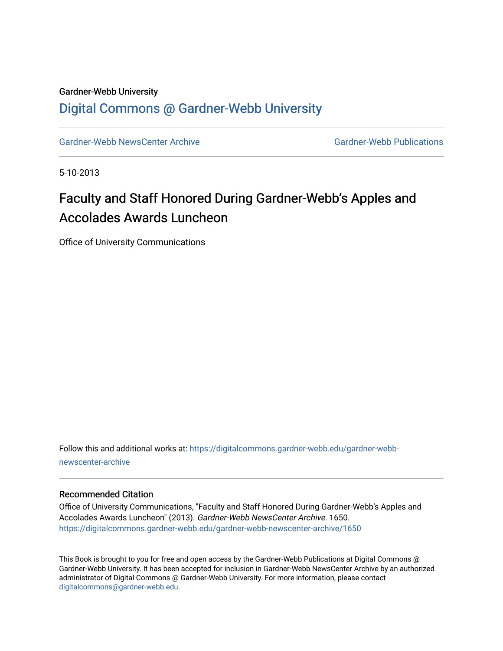#### Gardner-Webb University

### [Digital Commons @ Gardner-Webb University](https://digitalcommons.gardner-webb.edu/)

[Gardner-Webb NewsCenter Archive](https://digitalcommons.gardner-webb.edu/gardner-webb-newscenter-archive) Gardner-Webb Publications

5-10-2013

# Faculty and Staff Honored During Gardner-Webb's Apples and Accolades Awards Luncheon

Office of University Communications

Follow this and additional works at: [https://digitalcommons.gardner-webb.edu/gardner-webb](https://digitalcommons.gardner-webb.edu/gardner-webb-newscenter-archive?utm_source=digitalcommons.gardner-webb.edu%2Fgardner-webb-newscenter-archive%2F1650&utm_medium=PDF&utm_campaign=PDFCoverPages)[newscenter-archive](https://digitalcommons.gardner-webb.edu/gardner-webb-newscenter-archive?utm_source=digitalcommons.gardner-webb.edu%2Fgardner-webb-newscenter-archive%2F1650&utm_medium=PDF&utm_campaign=PDFCoverPages)

#### Recommended Citation

Office of University Communications, "Faculty and Staff Honored During Gardner-Webb's Apples and Accolades Awards Luncheon" (2013). Gardner-Webb NewsCenter Archive. 1650. [https://digitalcommons.gardner-webb.edu/gardner-webb-newscenter-archive/1650](https://digitalcommons.gardner-webb.edu/gardner-webb-newscenter-archive/1650?utm_source=digitalcommons.gardner-webb.edu%2Fgardner-webb-newscenter-archive%2F1650&utm_medium=PDF&utm_campaign=PDFCoverPages) 

This Book is brought to you for free and open access by the Gardner-Webb Publications at Digital Commons @ Gardner-Webb University. It has been accepted for inclusion in Gardner-Webb NewsCenter Archive by an authorized administrator of Digital Commons @ Gardner-Webb University. For more information, please contact [digitalcommons@gardner-webb.edu](mailto:digitalcommons@gardner-webb.edu).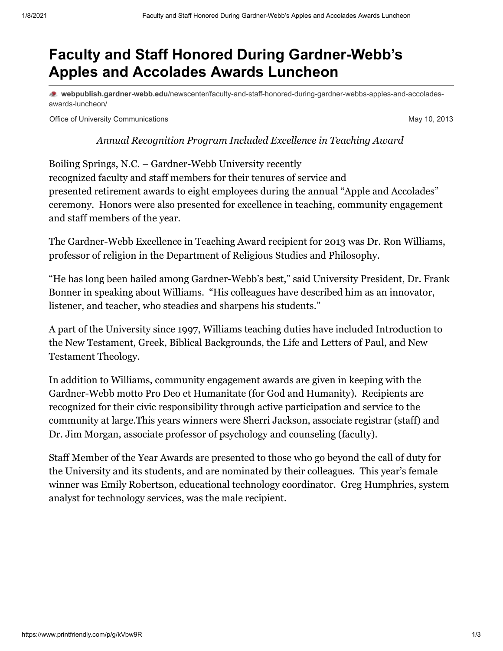## **Faculty and Staff Honored During Gardner-Webb's Apples and Accolades Awards Luncheon**

**webpublish.gardner-webb.edu**[/newscenter/faculty-and-staff-honored-during-gardner-webbs-apples-and-accolades](https://webpublish.gardner-webb.edu/newscenter/faculty-and-staff-honored-during-gardner-webbs-apples-and-accolades-awards-luncheon/)awards-luncheon/

Office of University Communications **May 10, 2013** Nay 10, 2013

*Annual Recognition Program Included Excellence in Teaching Award* 

Boiling Springs, N.C. – Gardner-Webb University recently recognized faculty and staff members for their tenures of service and presented retirement awards to eight employees during the annual "Apple and Accolades" ceremony. Honors were also presented for excellence in teaching, community engagement and staff members of the year.

The Gardner-Webb Excellence in Teaching Award recipient for 2013 was Dr. Ron Williams, professor of religion in the Department of Religious Studies and Philosophy.

"He has long been hailed among Gardner-Webb's best," said University President, Dr. Frank Bonner in speaking about Williams. "His colleagues have described him as an innovator, listener, and teacher, who steadies and sharpens his students."

A part of the University since 1997, Williams teaching duties have included Introduction to the New Testament, Greek, Biblical Backgrounds, the Life and Letters of Paul, and New Testament Theology.

In addition to Williams, community engagement awards are given in keeping with the Gardner-Webb motto Pro Deo et Humanitate (for God and Humanity). Recipients are recognized for their civic responsibility through active participation and service to the community at large.This years winners were Sherri Jackson, associate registrar (staff) and Dr. Jim Morgan, associate professor of psychology and counseling (faculty).

Staff Member of the Year Awards are presented to those who go beyond the call of duty for the University and its students, and are nominated by their colleagues. This year's female winner was Emily Robertson, educational technology coordinator. Greg Humphries, system analyst for technology services, was the male recipient.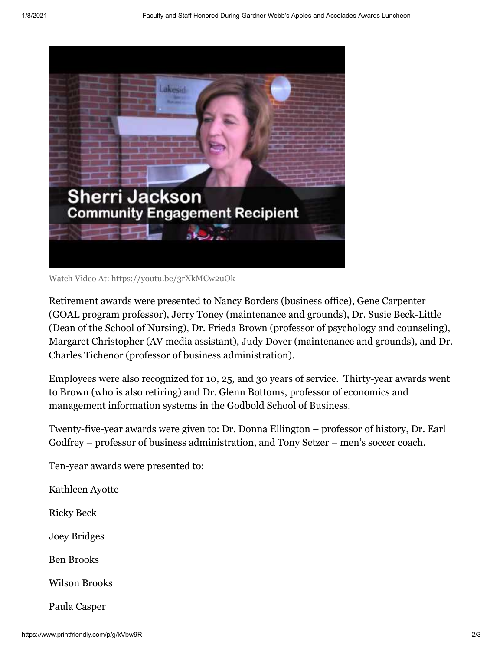

Watch Video [At: https://youtu.be/3rXkMCw2uOk](https://youtu.be/3rXkMCw2uOk)

Retirement awards were presented to Nancy Borders (business office), Gene Carpenter (GOAL program professor), Jerry Toney (maintenance and grounds), Dr. Susie Beck-Little (Dean of the School of Nursing), Dr. Frieda Brown (professor of psychology and counseling), Margaret Christopher (AV media assistant), Judy Dover (maintenance and grounds), and Dr. Charles Tichenor (professor of business administration).

Employees were also recognized for 10, 25, and 30 years of service. Thirty-year awards went to Brown (who is also retiring) and Dr. Glenn Bottoms, professor of economics and management information systems in the Godbold School of Business.

Twenty-five-year awards were given to: Dr. Donna Ellington – professor of history, Dr. Earl Godfrey – professor of business administration, and Tony Setzer – men's soccer coach.

Ten-year awards were presented to:

Kathleen Ayotte

Ricky Beck

Joey Bridges

Ben Brooks

Wilson Brooks

Paula Casper